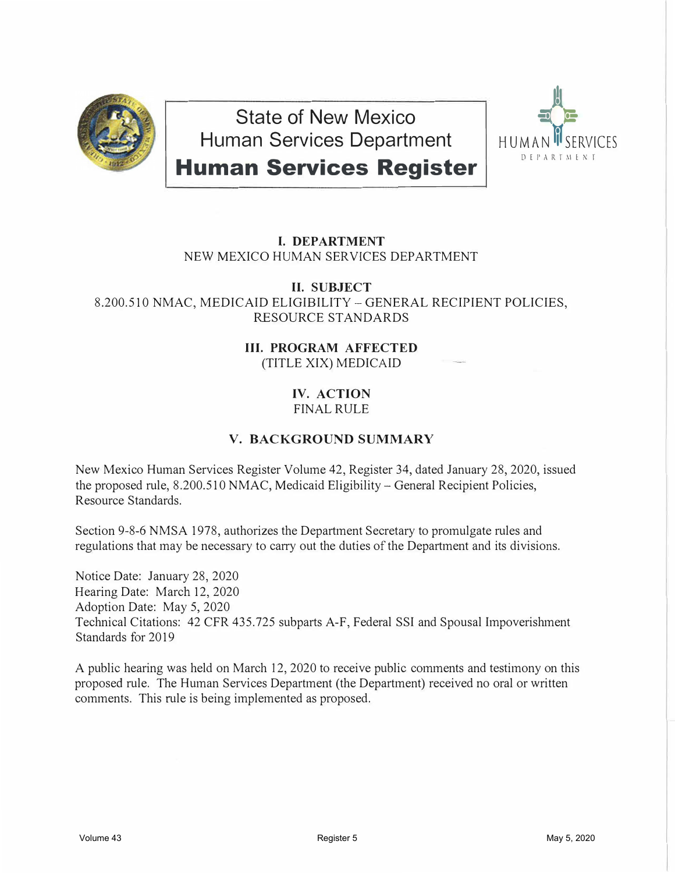

**State of New Mexico Human Services Department Human Services Register** 



## **I. DEPARTMENT** NEW MEXICO HUMAN SERVICES DEPARTMENT

#### **II. SUBJECT** 8.200.510 NMAC, MEDICAID ELIGIBILITY -GENERAL RECIPIENT POLICIES, RESOURCE STANDARDS

## **III. PROGRAM AFFECTED** (TITLE XIX) MEDICAID

### **IV. ACTION** FINAL RULE

# **V. BACKGROUND SUMMARY**

New Mexico Human Services Register Volume 42, Register 34, dated January 28, 2020, issued the proposed rule, 8.200.510 NMAC, Medicaid Eligibility - General Recipient Policies, Resource Standards.

Section 9-8-6 NMSA 1978, authorizes the Department Secretary to promulgate rules and regulations that may be necessary to carry out the duties of the Department and its divisions.

Notice Date: January 28, 2020 Hearing Date: March 12, 2020 Adoption Date: May 5, 2020 Technical Citations: 42 CFR 435.725 subparts A-F, Federal SSI and Spousal Impoverishment Standards for 2019

A public hearing was held on March 12, 2020 to receive public comments and testimony on this proposed rule. The Human Services Department (the Department) received no oral or written comments. This rule is being implemented as proposed.